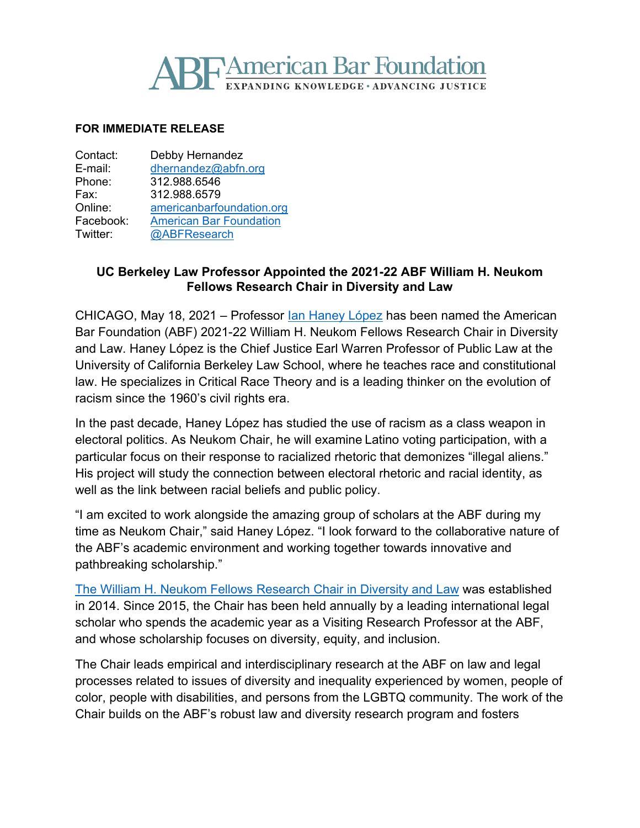## **BE American Bar Foundation NDING KNOWLEDGE · ADVANCING JUSTICE**

## **FOR IMMEDIATE RELEASE**

| Debby Hernandez                |
|--------------------------------|
| dhernandez@abfn.org            |
| 312.988.6546                   |
| 312.988.6579                   |
| americanbarfoundation.org      |
| <b>American Bar Foundation</b> |
| @ABFResearch                   |
|                                |

## **UC Berkeley Law Professor Appointed the 2021-22 ABF William H. Neukom Fellows Research Chair in Diversity and Law**

CHICAGO, May 18, 2021 – Professor <u>Ian Haney López</u> has been named the American Bar Foundation (ABF) 2021-22 William H. Neukom Fellows Research Chair in Diversity and Law. Haney López is the Chief Justice Earl Warren Professor of Public Law at the University of California Berkeley Law School, where he teaches race and constitutional law. He specializes in Critical Race Theory and is a leading thinker on the evolution of racism since the 1960's civil rights era.

In the past decade, Haney López has studied the use of racism as a class weapon in electoral politics. As Neukom Chair, he will examine Latino voting participation, with a particular focus on their response to racialized rhetoric that demonizes "illegal aliens." His project will study the connection between electoral rhetoric and racial identity, as well as the link between racial beliefs and public policy.

"I am excited to work alongside the amazing group of scholars at the ABF during my time as Neukom Chair," said Haney López. "I look forward to the collaborative nature of the ABF's academic environment and working together towards innovative and pathbreaking scholarship."

[The William H. Neukom Fellows Research Chair in Diversity and Law](http://www.americanbarfoundation.org/faculty/ResearchCommunity/William_H__Neukom_Fellows_Research_Chair_in_Diversity_and_Law.html) was established in 2014. Since 2015, the Chair has been held annually by a leading international legal scholar who spends the academic year as a Visiting Research Professor at the ABF, and whose scholarship focuses on diversity, equity, and inclusion.

The Chair leads empirical and interdisciplinary research at the ABF on law and legal processes related to issues of diversity and inequality experienced by women, people of color, people with disabilities, and persons from the LGBTQ community. The work of the Chair builds on the ABF's robust law and diversity research program and fosters